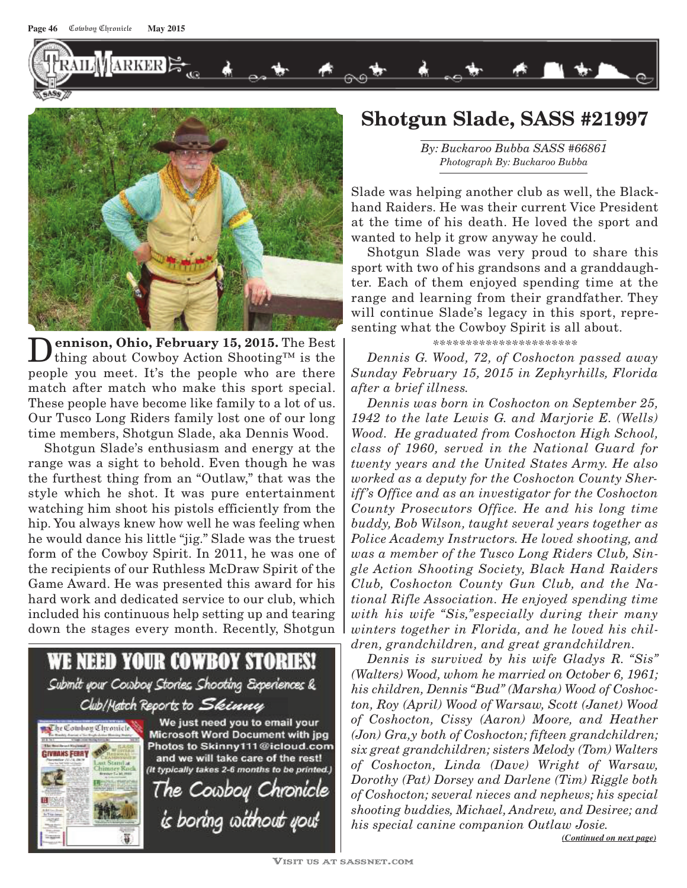**AILWARKER** 



D **ennison, Ohio, February 15, 2015.** The Best thing about Cowboy Action Shooting™ is the people you meet. It's the people who are there match after match who make this sport special. These people have become like family to a lot of us. Our Tusco Long Riders family lost one of our long time members, Shotgun Slade, aka Dennis Wood.

Shotgun Slade's enthusiasm and energy at the range was a sight to behold. Even though he was the furthest thing from an "Outlaw," that was the style which he shot. It was pure entertainment watching him shoot his pistols efficiently from the hip. You always knew how well he was feeling when he would dance his little "jig." Slade was the truest form of the Cowboy Spirit. In 2011, he was one of the recipients of our Ruthless McDraw Spirit of the Game Award. He was presented this award for his hard work and dedicated service to our club, which included his continuous help setting up and tearing down the stages every month. Recently, Shotgun



## **Shotgun Slade, SASS #21997**

*By: Buckaroo Bubba SASS #66861 Photograph By: Buckaroo Bubba*

Slade was helping another club as well, the Blackhand Raiders. He was their current Vice President at the time of his death. He loved the sport and wanted to help it grow anyway he could.

Shotgun Slade was very proud to share this sport with two of his grandsons and a granddaughter. Each of them enjoyed spending time at the range and learning from their grandfather. They will continue Slade's legacy in this sport, representing what the Cowboy Spirit is all about.

## *\*\*\*\*\*\*\*\*\*\*\*\*\*\*\*\*\*\*\*\*\*\**

*Dennis G. Wood, 72, of Coshocton passed away Sunday February 15, 2015 in Zephyrhills, Florida after a brief illness.* 

*Dennis was born in Coshocton on September 25, 1942 to the late Lewis G. and Marjorie E. (Wells) Wood. He graduated from Coshocton High School, class of 1960, served in the National Guard for twenty years and the United States Army. He also worked as a deputy for the Coshocton County Sheriff's Office and as an investigator for the Coshocton County Prosecutors Office. He and his long time buddy, Bob Wilson, taught several years together as Police Academy Instructors. He loved shooting, and was a member of the Tusco Long Riders Club, Single Action Shooting Society, Black Hand Raiders Club, Coshocton County Gun Club, and the National Rifle Association. He enjoyed spending time with his wife "Sis,"especially during their many winters together in Florida, and he loved his children, grandchildren, and great grandchildren.*

*Dennis is survived by his wife Gladys R. "Sis" (Walters) Wood, whom he married on October 6, 1961; his children, Dennis "Bud" (Marsha) Wood of Coshocton, Roy (April) Wood of Warsaw, Scott (Janet) Wood of Coshocton, Cissy (Aaron) Moore, and Heather (Jon) Gra,y both of Coshocton; fifteen grandchildren; six great grandchildren; sisters Melody (Tom) Walters of Coshocton, Linda (Dave) Wright of Warsaw, Dorothy (Pat) Dorsey and Darlene (Tim) Riggle both of Coshocton; several nieces and nephews; his special shooting buddies, Michael, Andrew, and Desiree; and his special canine companion Outlaw Josie.*

*(Continued on next page)*